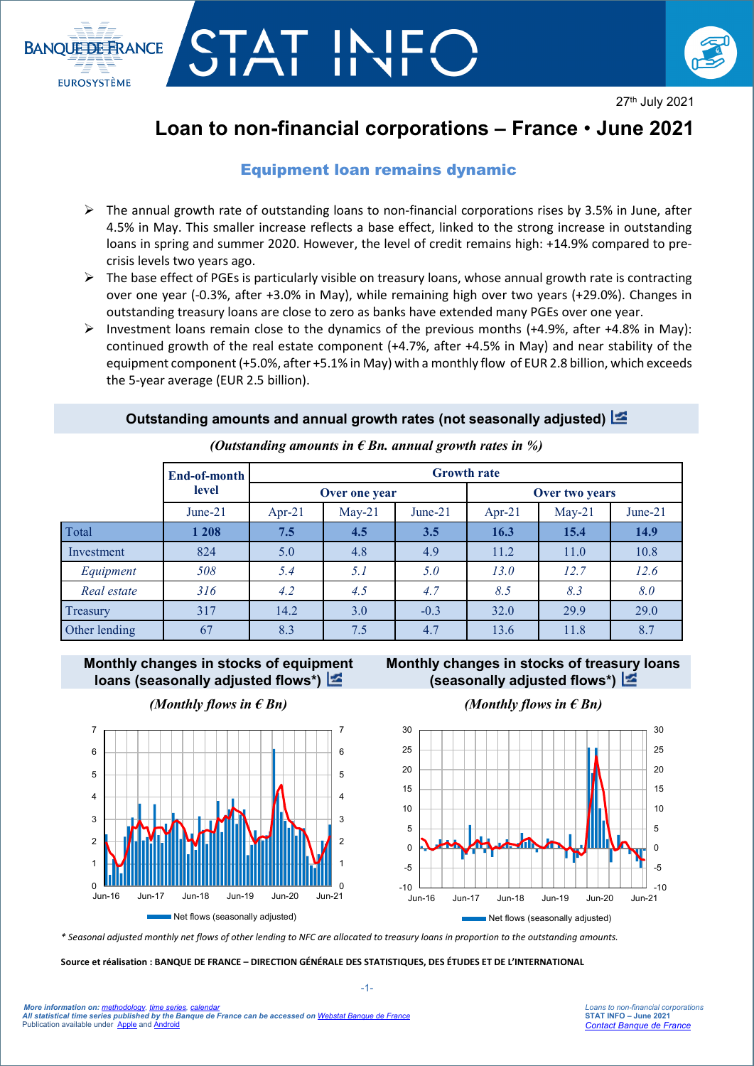

# STAT IN



27th July 2021

# **Loan to non-financial corporations – France** • **June 2021**

## Equipment loan remains dynamic

- $\triangleright$  The annual growth rate of outstanding loans to non-financial corporations rises by 3.5% in June, after 4.5% in May. This smaller increase reflects a base effect, linked to the strong increase in outstanding loans in spring and summer 2020. However, the level of credit remains high: +14.9% compared to precrisis levels two years ago.
- $\triangleright$  The base effect of PGEs is particularly visible on treasury loans, whose annual growth rate is contracting over one year (-0.3%, after +3.0% in May), while remaining high over two years (+29.0%). Changes in outstanding treasury loans are close to zero as banks have extended many PGEs over one year.
- Investment loans remain close to the dynamics of the previous months (+4.9%, after +4.8% in May): continued growth of the real estate component (+4.7%, after +4.5% in May) and near stability of the equipment component (+5.0%, after +5.1% in May) with a monthly flow of EUR 2.8 billion, which exceeds the 5-year average (EUR 2.5 billion).

### **Outstanding amounts and annual growth rates (not seasonally adjusted)**

|               | End-of-month | <b>Growth rate</b> |          |            |                |          |           |
|---------------|--------------|--------------------|----------|------------|----------------|----------|-----------|
|               | level        | Over one year      |          |            | Over two years |          |           |
|               | June- $21$   | Apr-21             | $May-21$ | June- $21$ | $Apr-21$       | $May-21$ | $June-21$ |
| Total         | 1 208        | 7.5                | 4.5      | 3.5        | 16.3           | 15.4     | 14.9      |
| Investment    | 824          | 5.0                | 4.8      | 4.9        | 11.2           | 11.0     | 10.8      |
| Equipment     | 508          | 5.4                | 5.1      | 5.0        | 13.0           | 12.7     | 12.6      |
| Real estate   | 316          | 4.2                | 4.5      | 4.7        | 8.5            | 8.3      | 8.0       |
| Treasury      | 317          | 14.2               | 3.0      | $-0.3$     | 32.0           | 29.9     | 29.0      |
| Other lending | 67           | 8.3                | 7.5      | 4.7        | 13.6           | 11.8     | 8.7       |

*(Outstanding amounts in € Bn. annual growth rates in %)*

**Monthly changes in stocks of equip[men](http://webstat.banque-france.fr/en/publication/Loans_NFC_graph1)t loans (seasonally adjusted flows\*)**

### **Monthly changes in stocks of treas[ury](http://webstat.banque-france.fr/en/publication/Loans_NFC_graph2) loans (seasonally adjusted flows\*)**



*(Monthly flows in*  $\epsilon$  *Bn) (Monthly flows in*  $\epsilon$  *Bn)* 



*\* Seasonal adjusted monthly net flows of other lending to NFC are allocated to treasury loans in proportion to the outstanding amounts.*

**Source et réalisation : BANQUE DE FRANCE – DIRECTION GÉNÉRALE DES STATISTIQUES, DES ÉTUDES ET DE L'INTERNATIONAL**

30